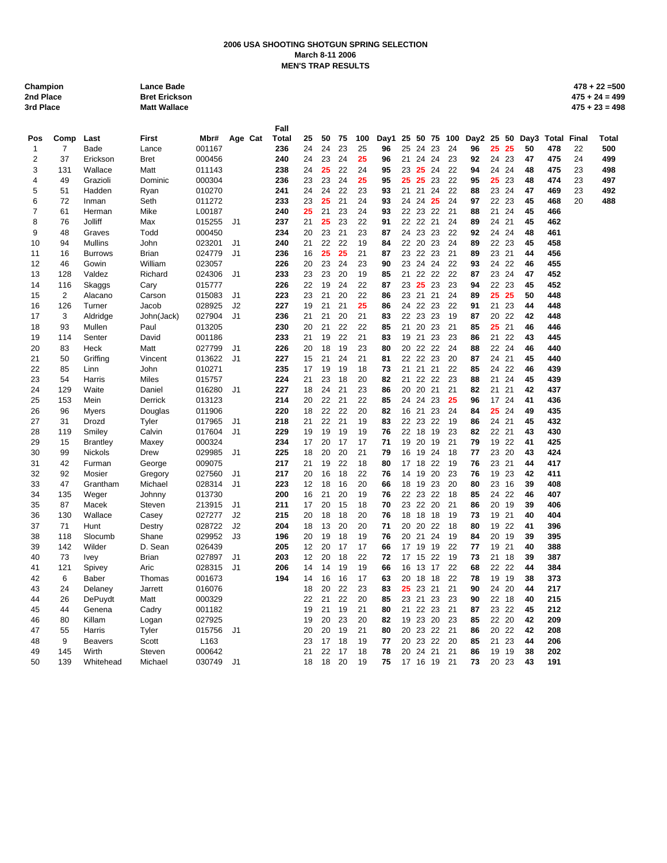## **2006 USA SHOOTING SHOTGUN SPRING SELECTION March 8-11 2006 MEN'S TRAP RESULTS**

| Champion         |
|------------------|
| 2nd Place        |
| $2 - 1$ Discover |

**Champion Lance Bade 478 + 22 =500 2nd Place Bret Erickson 475 + 24 = 499**

|                |                |                 |                 |                  |                      | Fall       |          |          |          |          |          |          |             |          |          |          |          |          |          |            |       |       |
|----------------|----------------|-----------------|-----------------|------------------|----------------------|------------|----------|----------|----------|----------|----------|----------|-------------|----------|----------|----------|----------|----------|----------|------------|-------|-------|
| Pos            | Comp           | Last            | First           | Mbr#             | Age Cat              | Total      | 25       | 50       | 75       | 100      | Dav1     | 25       | 50          |          | 75 100   | Day2     | 25 50    |          | Day3     | Total      | Final | Total |
| $\mathbf{1}$   | $\overline{7}$ | Bade            | Lance           | 001167           |                      | 236        | 24       | 24       | 23       | 25       | 96       | 25       | 24          | 23       | 24       | 96       | 25       | 25       | 50       | 478        | 22    | 500   |
| $\overline{2}$ | 37             | Erickson        | <b>Bret</b>     | 000456           |                      | 240        | 24       | 23       | 24       | 25       | 96       | 21       | 24          | 24       | 23       | 92       | 24       | 23       | 47       | 475        | 24    | 499   |
| 3              | 131            | Wallace         | Matt            | 011143           |                      | 238        | 24       | 25       | 22       | 24       | 95       | 23       | 25          | 24       | 22       | 94       | 24       | 24       | 48       | 475        | 23    | 498   |
| 4              | 49             | Grazioli        | Dominic         | 000304           |                      | 236        | 23       | 23       | 24       | 25       | 95       | 25       | 25          | 23       | 22       | 95       | 25       | 23       | 48       | 474        | 23    | 497   |
| 5              | 51             | Hadden          | Ryan            | 010270           |                      | 241        | 24       | 24       | 22       | 23       | 93       | 21       | 21          | 24       | 22       | 88       | 23       | 24       | 47       | 469        | 23    | 492   |
| 6              | 72             | Inman           | Seth            | 011272           |                      | 233        | 23       | 25       | 21       | 24       | 93       |          | 24 24       | 25       | 24       | 97       |          | 22 23    | 45       | 468        | 20    | 488   |
| $\overline{7}$ | 61             | Herman          | Mike            | L00187           |                      | 240        | 25       | 21       | 23       | 24       | 93       |          | 22 23       | 22       | 21       | 88       | 21       | 24       | 45       | 466        |       |       |
| 8              | 76             | Jolliff         | Max             | 015255           | J <sub>1</sub>       | 237        | 21       | 25       | 23       | 22       | 91       |          | 22 22       | 21       | 24       | 89       | 24       | 21       | 45       | 462        |       |       |
| 9              | 48             | Graves          | Todd            | 000450           |                      | 234        | 20       | 23       | 21       | 23       | 87       | 24       | 23          | 23       | 22       | 92       | 24       | 24       | 48       | 461        |       |       |
| 10             | 94             | <b>Mullins</b>  | John            | 023201           | J <sub>1</sub>       | 240        | 21       | 22       | 22       | 19       | 84       | 22       | 20          | 23       | 24       | 89       | 22 23    |          | 45       | 458        |       |       |
| 11             | 16             | <b>Burrows</b>  | <b>Brian</b>    | 024779           | J <sub>1</sub>       | 236        | 16       | 25       | 25       | 21       | 87       | 23       | 22          | 23       | 21       | 89       | 23       | 21       | 44       | 456        |       |       |
| 12             | 46             | Gowin           | William         | 023057           |                      | 226        | 20<br>23 | 23<br>23 | 24       | 23       | 90       | 23       | 24<br>22 22 | 24       | 22       | 93       |          | 24 22    | 46       | 455        |       |       |
| 13             | 128            | Valdez          | Richard         | 024306           | J1                   | 233        |          |          | 20       | 19       | 85       | 21       |             |          | 22       | 87       | 23 24    |          | 47       | 452        |       |       |
| 14             | 116            | Skaggs          | Cary            | 015777           |                      | 226        | 22       | 19       | 24       | 22       | 87       | 23       | 25          | 23       | 23       | 94       |          | 22 23    | 45       | 452        |       |       |
| 15             | 2              | Alacano         | Carson          | 015083           | J <sub>1</sub>       | 223        | 23       | 21       | 20<br>21 | 22<br>25 | 86<br>86 |          | 23 21 21    |          | 24<br>22 | 89<br>91 | 25       | 25       | 50<br>44 | 448<br>448 |       |       |
| 16             | 126            | Turner          | Jacob           | 028925           | J2                   | 227        | 19       | 21       |          |          |          |          | 24 22       | 23       |          |          | 21       | 23       |          |            |       |       |
| 17             | 3              | Aldridge        | John(Jack)      | 027904           | J1                   | 236        | 21       | 21       | 20       | 21       | 83       |          | 22 23 23    |          | 19       | 87       |          | 20 22    | 42       | 448        |       |       |
| 18             | 93             | Mullen          | Paul            | 013205           |                      | 230        | 20       | 21       | 22       | 22       | 85       | 21       | 20          | 23       | 21       | 85       | 25       | 21       | 46<br>43 | 446        |       |       |
| 19             | 114            | Senter          | David           | 001186           |                      | 233        | 21<br>20 | 19       | 22<br>19 | 21<br>23 | 83       |          | 19 21<br>22 | 23<br>22 | 23       | 86       | 21<br>22 | 22       |          | 445        |       |       |
| 20             | 83<br>50       | Heck            | Matt            | 027799           | J1<br>J <sub>1</sub> | 226        |          | 18<br>21 | 24       | 21       | 80<br>81 | 20<br>22 | 22          | 23       | 24<br>20 | 88<br>87 | 24       | 24<br>21 | 46<br>45 | 440<br>440 |       |       |
| 21             |                | Griffing        | Vincent         | 013622           |                      | 227<br>235 | 15<br>17 | 19       | 19       | 18       | 73       | 21       | 21          | 21       | 22       | 85       | 24       | 22       | 46       | 439        |       |       |
| 22             | 85<br>54       | Linn            | John            | 010271           |                      | 224        |          |          | 18       | 20       | 82       |          |             | 22       | 23       | 88       |          | 24       | 45       | 439        |       |       |
| 23<br>24       | 129            | Harris<br>Waite | Miles<br>Daniel | 015757<br>016280 | J <sub>1</sub>       | 227        | 21<br>18 | 23<br>24 | 21       | 23       | 86       | 21<br>20 | 22<br>20    | 21       | 21       | 82       | 21<br>21 | 21       | 42       | 437        |       |       |
| 25             | 153            | Mein            | Derrick         | 013123           |                      | 214        | 20       | 22       | 21       | 22       | 85       | 24       | 24          | 23       | 25       | 96       | 17       | 24       | 41       | 436        |       |       |
| 26             | 96             | <b>Myers</b>    | Douglas         | 011906           |                      | 220        | 18       | 22       | 22       | 20       | 82       |          | 16 21       | 23       | 24       | 84       |          | 25 24    | 49       | 435        |       |       |
| 27             | 31             | Drozd           | Tyler           | 017965           | J1                   | 218        | 21       | 22       | 21       | 19       | 83       |          | 22 23       | 22       | 19       | 86       | 24       | 21       | 45       | 432        |       |       |
| 28             | 119            | Smiley          | Calvin          | 017604           | J1                   | 229        | 19       | 19       | 19       | 19       | 76       |          | 22 18       | 19       | 23       | 82       | 22 21    |          | 43       | 430        |       |       |
| 29             | 15             | <b>Brantley</b> | Maxey           | 000324           |                      | 234        | 17       | 20       | 17       | 17       | 71       | 19       | 20          | 19       | 21       | 79       | 19       | 22       | 41       | 425        |       |       |
| 30             | 99             | Nickols         | Drew            | 029985           | J <sub>1</sub>       | 225        | 18       | 20       | 20       | 21       | 79       |          | 16 19       | 24       | 18       | 77       | 23       | 20       | 43       | 424        |       |       |
| 31             | 42             | Furman          | George          | 009075           |                      | 217        | 21       | 19       | 22       | 18       | 80       |          | 17 18       | 22       | 19       | 76       | 23       | 21       | 44       | 417        |       |       |
| 32             | 92             | Mosier          | Gregory         | 027560           | J <sub>1</sub>       | 217        | 20       | 16       | 18       | 22       | 76       |          | 14 19       | 20       | 23       | 76       | 19       | 23       | 42       | 411        |       |       |
| 33             | 47             | Grantham        | Michael         | 028314           | J <sub>1</sub>       | 223        | 12       | 18       | 16       | 20       | 66       | 18       | 19          | 23       | 20       | 80       | 23       | 16       | 39       | 408        |       |       |
| 34             | 135            | Weger           | Johnny          | 013730           |                      | 200        | 16       | 21       | 20       | 19       | 76       |          | 22 23       | 22       | 18       | 85       | 24       | 22       | 46       | 407        |       |       |
| 35             | 87             | Macek           | Steven          | 213915           | J <sub>1</sub>       | 211        | 17       | 20       | 15       | 18       | 70       |          | 23 22 20    |          | 21       | 86       | 20 19    |          | 39       | 406        |       |       |
| 36             | 130            | Wallace         | Casey           | 027277           | J2                   | 215        | 20       | 18       | 18       | 20       | 76       | 18       | 18          | 18       | 19       | 73       | 19       | 21       | 40       | 404        |       |       |
| 37             | 71             | Hunt            | Destry          | 028722           | J2                   | 204        | 18       | 13       | 20       | 20       | 71       |          | 20 20 22    |          | 18       | 80       |          | 19 22    | 41       | 396        |       |       |
| 38             | 118            | Slocumb         | Shane           | 029952           | JЗ                   | 196        | 20       | 19       | 18       | 19       | 76       | 20       | 21          | 24       | 19       | 84       | 20       | 19       | 39       | 395        |       |       |
| 39             | 142            | Wilder          | D. Sean         | 026439           |                      | 205        | 12       | 20       | 17       | 17       | 66       |          | 17 19       | 19       | 22       | 77       | 19       | 21       | 40       | 388        |       |       |
| 40             | 73             | <b>Ivey</b>     | <b>Brian</b>    | 027897           | J <sub>1</sub>       | 203        | 12       | 20       | 18       | 22       | 72       | 17       | 15          | 22       | 19       | 73       | 21       | 18       | 39       | 387        |       |       |
| 41             | 121            | Spivey          | Aric            | 028315           | J <sub>1</sub>       | 206        | 14       | 14       | 19       | 19       | 66       |          | 16 13       | 17       | 22       | 68       |          | 22 22    | 44       | 384        |       |       |
| 42             | 6              | Baber           | Thomas          | 001673           |                      | 194        | 14       | 16       | 16       | 17       | 63       | 20       | 18          | 18       | 22       | 78       | 19       | 19       | 38       | 373        |       |       |
| 43             | 24             | Delaney         | Jarrett         | 016076           |                      |            | 18       | 20       | 22       | 23       | 83       | 25       | 23          | 21       | 21       | 90       | 24       | 20       | 44       | 217        |       |       |
| 44             | 26             | <b>DePuydt</b>  | Matt            | 000329           |                      |            | 22       | 21       | 22       | 20       | 85       | 23       | 21          | 23       | 23       | 90       | 22       | 18       | 40       | 215        |       |       |
| 45             | 44             | Genena          | Cadry           | 001182           |                      |            | 19       | 21       | 19       | 21       | 80       | 21       | 22          | 23       | 21       | 87       |          | 23 22    | 45       | 212        |       |       |
| 46             | 80             | Killam          | Logan           | 027925           |                      |            | 19       | 20       | 23       | 20       | 82       |          | 19 23       | 20       | 23       | 85       | 22       | 20       | 42       | 209        |       |       |
| 47             | 55             | Harris          | Tyler           | 015756           | J1                   |            | 20       | 20       | 19       | 21       | 80       | 20       | 23          | 22       | 21       | 86       | 20       | 22       | 42       | 208        |       |       |
| 48             | 9              | <b>Beavers</b>  | Scott           | L <sub>163</sub> |                      |            | 23       | 17       | 18       | 19       | 77       |          | 20 23       | 22       | 20       | 85       | 21       | 23       | 44       | 206        |       |       |
| 49             | 145            | Wirth           | Steven          | 000642           |                      |            | 21       | 22       | 17       | 18       | 78       |          | 20 24 21    |          | 21       | 86       | 19       | 19       | 38       | 202        |       |       |
| 50             | 139            | Whitehead       | Michael         | 030749           | J <sub>1</sub>       |            | 18       | 18       | 20       | 19       | 75       |          | 17 16 19    |          | 21       | 73       |          | 20 23    | 43       | 191        |       |       |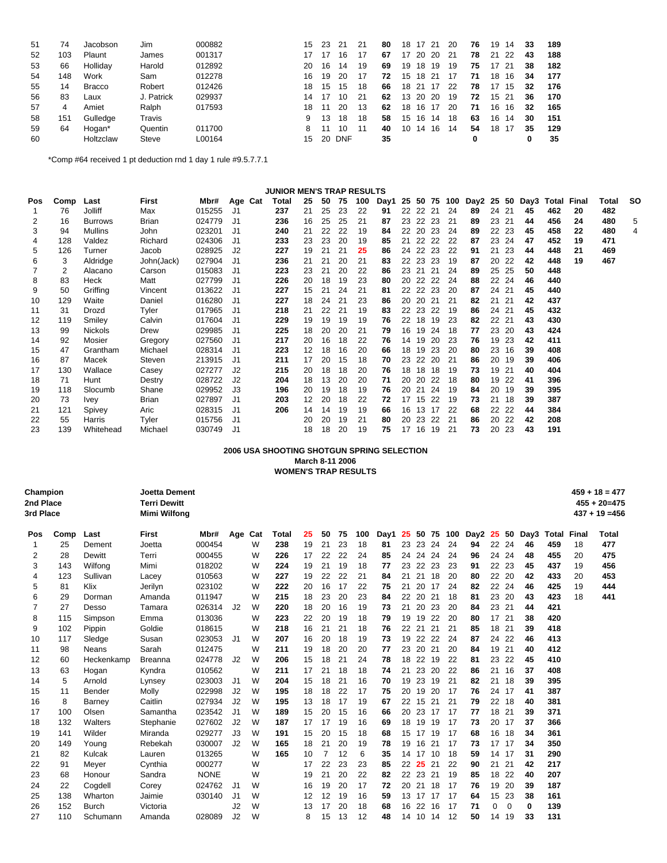| 51 | 74  | Jacobson      | Jim        | 000882 | 15 | -23 | 21     | -21 | 80 | 18 | 17 21    |      | -20 | 76 | 19 | 14    | 33 | 189 |
|----|-----|---------------|------------|--------|----|-----|--------|-----|----|----|----------|------|-----|----|----|-------|----|-----|
| 52 | 103 | Plaunt        | James      | 001317 |    | 17  | 16     | 17  | 67 | 17 | 20       | -20  | 21  | 78 | 21 | -22   | 43 | 188 |
| 53 | 66  | Holliday      | Harold     | 012892 | 20 | 16  | 14     | 19  | 69 | 19 | 18       | 19   | 19  | 75 | 17 | -21   | 38 | 182 |
| 54 | 148 | Work          | Sam        | 012278 | 16 | 19  | 20     | 17  | 72 |    | 15 18 21 |      | 17  | 71 | 18 | 16    | 34 | 177 |
| 55 | 14  | <b>Bracco</b> | Robert     | 012426 | 18 | 15  | 15     | 18  | 66 |    | 18 21    | - 17 | 22  | 78 | 17 | 15    | 32 | 176 |
| 56 | 83  | Laux          | J. Patrick | 029937 | 14 | 17  | 10     | 21  | 62 | 13 | 20 20    |      | 19  | 72 |    | 15 21 | 36 | 170 |
| 57 | 4   | Amiet         | Ralph      | 017593 | 18 | 11  | 20     | 13  | 62 | 18 | 16 17    |      | 20  | 71 | 16 | 16    | 32 | 165 |
| 58 | 151 | Gulledge      | Travis     |        | 9  | 13  | 18     | 18  | 58 |    | 15 16    | 14   | 18  | 63 | 16 | 14    | 30 | 151 |
| 59 | 64  | Hogan*        | Quentin    | 011700 | 8  | 11  | 10     | 11  | 40 | 10 | 14       | 16   | 14  | 54 | 18 | 17    | 35 | 129 |
| 60 |     | Holtzclaw     | Steve      | L00164 | 15 |     | 20 DNF |     | 35 |    |          |      |     | 0  |    |       |    | 35  |

\*Comp #64 received 1 pt deduction rnd 1 day 1 rule #9.5.7.7.1

#### **JUNIOR MEN'S TRAP RESULTS**

| Pos | Comp | Last           | First      | Mbr#   | Age Cat | Total | 25 | 50 | 75 | 100 | Day1 | 25 |          | 50 75 | 100 | Day2 25 |       | 50    | Day3 |     | <b>Total Final</b> | Total | <b>SO</b> |
|-----|------|----------------|------------|--------|---------|-------|----|----|----|-----|------|----|----------|-------|-----|---------|-------|-------|------|-----|--------------------|-------|-----------|
|     | 76   | Jolliff        | Max        | 015255 | J1      | 237   | 21 | 25 | 23 | 22  | 91   | 22 | 22 21    |       | 24  | 89      | 24 21 |       | 45   | 462 | 20                 | 482   |           |
| 2   | 16   | <b>Burrows</b> | Brian      | 024779 | J1      | 236   | 16 | 25 | 25 | 21  | 87   | 23 | 22 23    |       | 21  | 89      | 23 21 |       | 44   | 456 | 24                 | 480   | 5         |
| 3   | 94   | <b>Mullins</b> | John       | 023201 | J1      | 240   | 21 | 22 | 22 | 19  | 84   | 22 | 20       | 23    | -24 | 89      | 22    | 23    | 45   | 458 | 22                 | 480   | 4         |
| 4   | 128  | Valdez         | Richard    | 024306 | J1      | 233   | 23 | 23 | 20 | 19  | 85   | 21 | 22       | 22    | -22 | 87      | 23    | 24    | 47   | 452 | 19                 | 471   |           |
| 5   | 126  | Turner         | Jacob      | 028925 | J2      | 227   | 19 | 21 | 21 | 25  | 86   | 24 | 22       | 23    | 22  | 91      | 21    | 23    | 44   | 448 | 21                 | 469   |           |
| 6   | 3    | Aldridge       | John(Jack) | 027904 | J1      | 236   | 21 | 21 | 20 | 21  | 83   |    | 22 23 23 |       | 19  | 87      | 20    | 22    | 42   | 448 | 19                 | 467   |           |
|     | 2    | Alacano        | Carson     | 015083 | J1      | 223   | 23 | 21 | 20 | 22  | 86   | 23 | -21      | -21   | 24  | 89      | 25    | 25    | 50   | 448 |                    |       |           |
| 8   | 83   | Heck           | Matt       | 027799 | J1      | 226   | 20 | 18 | 19 | 23  | 80   | 20 | 22 22    |       | 24  | 88      |       | 22 24 | 46   | 440 |                    |       |           |
| 9   | 50   | Griffing       | Vincent    | 013622 | J1      | 227   | 15 | 21 | 24 | 21  | 81   |    | 22 22 23 |       | -20 | 87      | 24 21 |       | 45   | 440 |                    |       |           |
| 10  | 129  | Waite          | Daniel     | 016280 | J1      | 227   | 18 | 24 | 21 | 23  | 86   | 20 | 20       | 21    | 21  | 82      | 21    | 21    | 42   | 437 |                    |       |           |
| 11  | 31   | Drozd          | Tyler      | 017965 | J1      | 218   | 21 | 22 | 21 | 19  | 83   | 22 | 23       | 22    | -19 | 86      | 24 21 |       | 45   | 432 |                    |       |           |
| 12  | 119  | Smiley         | Calvin     | 017604 | J1      | 229   | 19 | 19 | 19 | 19  | 76   | 22 | 18       | 19    | 23  | 82      | 22 21 |       | 43   | 430 |                    |       |           |
| 13  | 99   | <b>Nickols</b> | Drew       | 029985 | J1      | 225   | 18 | 20 | 20 | 21  | 79   | 16 | 19       | -24   | 18  | 77      | 23    | -20   | 43   | 424 |                    |       |           |
| 14  | 92   | Mosier         | Gregory    | 027560 | J1      | 217   | 20 | 16 | 18 | 22  | 76   | 14 | 19       | 20    | 23  | 76      | 19    | 23    | 42   | 411 |                    |       |           |
| 15  | 47   | Grantham       | Michael    | 028314 | J1      | 223   | 12 | 18 | 16 | 20  | 66   | 18 | 19       | 23    | 20  | 80      | 23    | 16    | 39   | 408 |                    |       |           |
| 16  | 87   | Macek          | Steven     | 213915 | J1      | 211   | 17 | 20 | 15 | 18  | 70   | 23 | 22       | 20    | 21  | 86      | 20    | 19    | 39   | 406 |                    |       |           |
| 17  | 130  | Wallace        | Casey      | 027277 | J2      | 215   | 20 | 18 | 18 | 20  | 76   | 18 | 18       | 18    | -19 | 73      | 19    | 21    | 40   | 404 |                    |       |           |
| 18  | 71   | Hunt           | Destry     | 028722 | J2      | 204   | 18 | 13 | 20 | 20  | 71   | 20 | 20       | 22    | 18  | 80      | 19    | 22    | 41   | 396 |                    |       |           |
| 19  | 118  | Slocumb        | Shane      | 029952 | J3      | 196   | 20 | 19 | 18 | 19  | 76   | 20 | 21       | 24    | 19  | 84      | 20    | 19    | 39   | 395 |                    |       |           |
| 20  | 73   | <b>Ivey</b>    | Brian      | 027897 | J1      | 203   | 12 | 20 | 18 | 22  | 72   | 17 |          | 15 22 | 19  | 73      | 21    | 18    | 39   | 387 |                    |       |           |
| 21  | 121  | Spivey         | Aric       | 028315 | J1      | 206   | 14 | 14 | 19 | 19  | 66   | 16 | 13       | 17    | -22 | 68      | 22    | 22    | 44   | 384 |                    |       |           |
| 22  | 55   | Harris         | Tyler      | 015756 | J1      |       | 20 | 20 | 19 | 21  | 80   | 20 | 23       | 22    | 21  | 86      | 20    | 22    | 42   | 208 |                    |       |           |
| 23  | 139  | Whitehead      | Michael    | 030749 | J1      |       | 18 | 18 | 20 | 19  | 75   | 17 | 16       | 19    | 21  | 73      | 20    | 23    | 43   | 191 |                    |       |           |

## **2006 USA SHOOTING SHOTGUN SPRING SELECTION March 8-11 2006 WOMEN'S TRAP RESULTS**

| Champion          |
|-------------------|
| <b>Onal Dinne</b> |

**2nd Place Terri Dewitt 455 + 20=475 3rd Place Mimi Wilfong 437 + 19 =456**

**Champion Joetta Dement 459 + 18 = 477**

| Pos | Comp | Last         | <b>First</b>   | Mbr#        | Age Cat        |   | Total | 25 | 50             | 75 | 100 | Day1 | 25 | 50              | 75 | 100 | Day2 | 25 | 50          | Day3 | Total | Final | Total |
|-----|------|--------------|----------------|-------------|----------------|---|-------|----|----------------|----|-----|------|----|-----------------|----|-----|------|----|-------------|------|-------|-------|-------|
| 1   | 25   | Dement       | Joetta         | 000454      |                | W | 238   | 19 | 21             | 23 | 18  | 81   | 23 | 23              | 24 | 24  | 94   | 22 | 24          | 46   | 459   | 18    | 477   |
| 2   | 28   | Dewitt       | Terri          | 000455      |                | W | 226   | 17 | 22             | 22 | 24  | 85   | 24 | 24              | 24 | 24  | 96   | 24 | 24          | 48   | 455   | 20    | 475   |
| 3   | 143  | Wilfong      | Mimi           | 018202      |                | W | 224   | 19 | 21             | 19 | 18  | 77   | 23 | 22              | 23 | 23  | 91   | 22 | 23          | 45   | 437   | 19    | 456   |
| 4   | 123  | Sullivan     | Lacey          | 010563      |                | W | 227   | 19 | 22             | 22 | 21  | 84   | 21 | 21              | 18 | 20  | 80   | 22 | 20          | 42   | 433   | 20    | 453   |
| 5   | 81   | Klix         | Jerilyn        | 023102      |                | W | 222   | 20 | 16             | 17 | 22  | 75   | 21 | 20              | 17 | 24  | 82   | 22 | 24          | 46   | 425   | 19    | 444   |
| 6   | 29   | Dorman       | Amanda         | 011947      |                | W | 215   | 18 | 23             | 20 | 23  | 84   | 22 | 20              | 21 | 18  | 81   | 23 | 20          | 43   | 423   | 18    | 441   |
| 7   | 27   | Desso        | Tamara         | 026314      | J2             | W | 220   | 18 | 20             | 16 | 19  | 73   | 21 | 20              | 23 | 20  | 84   | 23 | 21          | 44   | 421   |       |       |
| 8   | 115  | Simpson      | Emma           | 013036      |                | W | 223   | 22 | 20             | 19 | 18  | 79   | 19 | 19              | 22 | 20  | 80   | 17 | 21          | 38   | 420   |       |       |
| 9   | 102  | Pippin       | Goldie         | 018615      |                | W | 218   | 16 | 21             | 21 | 18  | 76   | 22 | 21              | 21 | 21  | 85   | 18 | 21          | 39   | 418   |       |       |
| 10  | 117  | Sledge       | Susan          | 023053      | J1             | W | 207   | 16 | 20             | 18 | 19  | 73   | 19 | 22              | 22 | -24 | 87   | 24 | 22          | 46   | 413   |       |       |
| 11  | 98   | Neans        | Sarah          | 012475      |                | W | 211   | 19 | 18             | 20 | 20  | 77   | 23 | 20              | 21 | 20  | 84   | 19 | 21          | 40   | 412   |       |       |
| 12  | 60   | Heckenkamp   | <b>Breanna</b> | 024778      | J <sub>2</sub> | W | 206   | 15 | 18             | 21 | 24  | 78   | 18 | 22              | 19 | 22  | 81   | 23 | 22          | 45   | 410   |       |       |
| 13  | 63   | Hogan        | Kyndra         | 010562      |                | W | 211   | 17 | 21             | 18 | 18  | 74   | 21 | 23              | 20 | 22  | 86   | 21 | 16          | 37   | 408   |       |       |
| 14  | 5    | Arnold       | Lynsey         | 023003      | J1             | W | 204   | 15 | 18             | 21 | 16  | 70   | 19 | 23              | 19 | -21 | 82   | 21 | 18          | 39   | 395   |       |       |
| 15  | 11   | Bender       | Molly          | 022998      | J <sub>2</sub> | W | 195   | 18 | 18             | 22 | 17  | 75   | 20 | 19              | 20 | 17  | 76   | 24 | 17          | 41   | 387   |       |       |
| 16  | 8    | Barney       | Caitlin        | 027934      | J2             | W | 195   | 13 | 18             | 17 | 19  | 67   | 22 | 15              | 21 | 21  | 79   | 22 | 18          | 40   | 381   |       |       |
| 17  | 100  | Olsen        | Samantha       | 023542      | J1             | W | 189   | 15 | 20             | 15 | 16  | 66   | 20 | 23              | 17 | 17  | 77   | 18 | 21          | 39   | 371   |       |       |
| 18  | 132  | Walters      | Stephanie      | 027602      | J <sub>2</sub> | W | 187   | 17 | 17             | 19 | 16  | 69   | 18 | 19              | 19 | 17  | 73   | 20 | 17          | 37   | 366   |       |       |
| 19  | 141  | Wilder       | Miranda        | 029277      | J3             | W | 191   | 15 | 20             | 15 | 18  | 68   | 15 | 17              | 19 | 17  | 68   | 16 | 18          | 34   | 361   |       |       |
| 20  | 149  | Young        | Rebekah        | 030007      | J <sub>2</sub> | W | 165   | 18 | 21             | 20 | 19  | 78   | 19 | 16              | 21 | 17  | 73   | 17 | 17          | 34   | 350   |       |       |
| 21  | 82   | Kulcak       | Lauren         | 013265      |                | W | 165   | 10 | $\overline{7}$ | 12 | 6   | 35   | 14 | 17              | 10 | 18  | 59   | 14 | -17         | 31   | 290   |       |       |
| 22  | 91   | Meyer        | Cynthia        | 000277      |                | W |       | 17 | 22             | 23 | 23  | 85   | 22 | -25             | 21 | 22  | 90   | 21 | 21          | 42   | 217   |       |       |
| 23  | 68   | Honour       | Sandra         | <b>NONE</b> |                | W |       | 19 | 21             | 20 | 22  | 82   | 22 | 23              | 21 | 19  | 85   | 18 | 22          | 40   | 207   |       |       |
| 24  | 22   | Cogdell      | Corey          | 024762      | J1             | W |       | 16 | 19             | 20 | 17  | 72   | 20 | 21              | 18 | 17  | 76   | 19 | 20          | 39   | 187   |       |       |
| 25  | 138  | Wharton      | Jaimie         | 030140      | J <sub>1</sub> | W |       | 12 | 12             | 19 | 16  | 59   |    | 13 17           | 17 | 17  | 64   | 15 | 23          | 38   | 161   |       |       |
| 26  | 152  | <b>Burch</b> | Victoria       |             | J2             | W |       | 13 | 17             | 20 | 18  | 68   | 16 | 22              | 16 | 17  | 71   | 0  | $\mathbf 0$ | 0    | 139   |       |       |
| 27  | 110  | Schumann     | Amanda         | 028089      | J <sub>2</sub> | W |       | 8  | 15             | 13 | 12  | 48   | 14 | 10 <sup>°</sup> | 14 | 12  | 50   | 14 | 19          | 33   | 131   |       |       |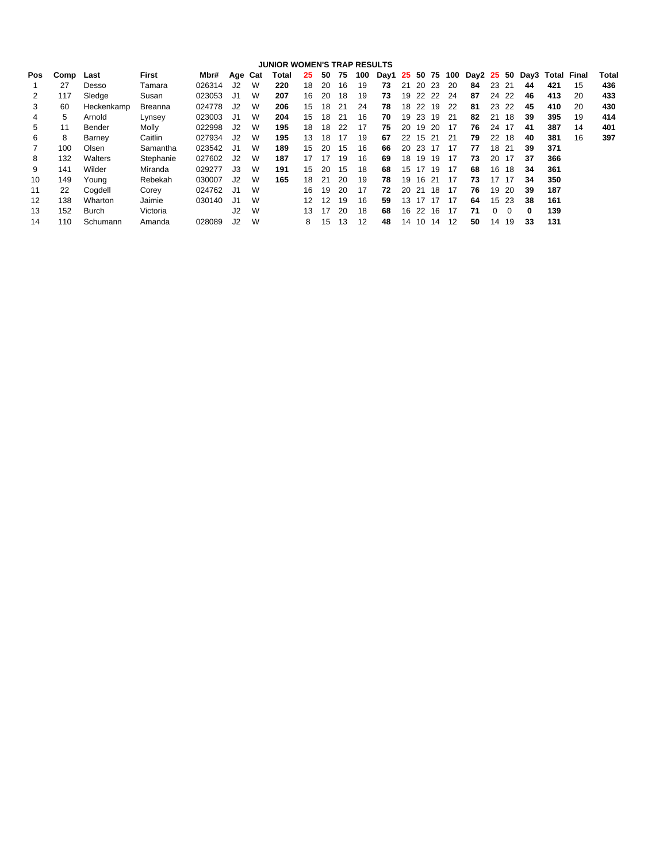|     |      |              |                |        |                |   | <b>JUNIOR WOMEN'S TRAP RESULTS</b> |    |    |    |     |      |    |    |    |     |            |          |          |      |       |       |       |
|-----|------|--------------|----------------|--------|----------------|---|------------------------------------|----|----|----|-----|------|----|----|----|-----|------------|----------|----------|------|-------|-------|-------|
| Pos | Comp | Last         | First          | Mbr#   | Age Cat        |   | Total                              | 25 | 50 | 75 | 100 | Day1 | 25 | 50 | 75 | 100 | Day2 25 50 |          |          | Day3 | Total | Final | Total |
|     | 27   | Desso        | Tamara         | 026314 | J2             | W | 220                                | 18 | 20 | 16 | 19  | 73   | 21 | 20 | 23 | 20  | 84         | 23       | -21      | 44   | 421   | 15    | 436   |
|     | 117  | Sledge       | Susan          | 023053 | J1             | W | 207                                | 16 | 20 | 18 | 19  | 73   | 19 | 22 | 22 | 24  | 87         | 24       | 22       | 46   | 413   | 20    | 433   |
| 3   | 60   | Heckenkamp   | <b>Breanna</b> | 024778 | J2             | W | 206                                | 15 | 18 | 21 | 24  | 78   | 18 | 22 | 19 | 22  | 81         | 23       | 22       | 45   | 410   | 20    | 430   |
| 4   | 5    | Arnold       | Lynsey         | 023003 | J1             | W | 204                                | 15 | 18 | 21 | 16  | 70   | 19 | 23 | 19 | 21  | 82         | 21       | 18       | 39   | 395   | 19    | 414   |
| 5   |      | Bender       | Molly          | 022998 | J2             | w | 195                                | 18 | 18 | 22 | 17  | 75   | 20 | 19 | 20 | 17  | 76         | 24       | 17       | 41   | 387   | 14    | 401   |
| 6   | 8    | Barney       | Caitlin        | 027934 | J <sub>2</sub> | W | 195                                | 13 | 18 | 17 | 19  | 67   | 22 | 15 | 21 | -21 | 79         | 22       | 18       | 40   | 381   | 16    | 397   |
|     | 100  | Olsen        | Samantha       | 023542 | J <sub>1</sub> | W | 189                                | 15 | 20 | 15 | 16  | 66   | 20 | 23 | 17 | 17  | 77         | 18       | 21       | 39   | 371   |       |       |
| 8   | 132  | Walters      | Stephanie      | 027602 | J <sub>2</sub> | W | 187                                | 17 | 17 | 19 | 16  | 69   | 18 | 19 | 19 | 17  | 73         | 20       | 17       | 37   | 366   |       |       |
| 9   | 141  | Wilder       | Miranda        | 029277 | J3             | W | 191                                | 15 | 20 | 15 | 18  | 68   | 15 | 17 | 19 | 17  | 68         | 16       | 18       | 34   | 361   |       |       |
| 10  | 149  | Youna        | Rebekah        | 030007 | J2             | W | 165                                | 18 | 21 | 20 | 19  | 78   | 19 | 16 | 21 | 17  | 73         | 17       | 17       | 34   | 350   |       |       |
| 11  | 22   | Cogdell      | Corey          | 024762 | J <sub>1</sub> | W |                                    | 16 | 19 | 20 | 17  | 72   | 20 | 21 | 18 | 17  | 76         | 19       | 20       | 39   | 187   |       |       |
| 12  | 138  | Wharton      | Jaimie         | 030140 | J1             | W |                                    | 12 | 12 | 19 | 16  | 59   | 13 |    | 17 | 17  | 64         | 15       | 23       | 38   | 161   |       |       |
| 13  | 152  | <b>Burch</b> | Victoria       |        | J2             | W |                                    | 13 | 17 | 20 | 18  | 68   | 16 | 22 | 16 | 17  | 71         | $\Omega$ | $\Omega$ | 0    | 139   |       |       |
| 14  | 110  | Schumann     | Amanda         | 028089 | J2             | W |                                    | 8  | 15 | 13 | 12  | 48   | 14 | 10 | 14 | 12  | 50         | 14       | 19       | 33   | 131   |       |       |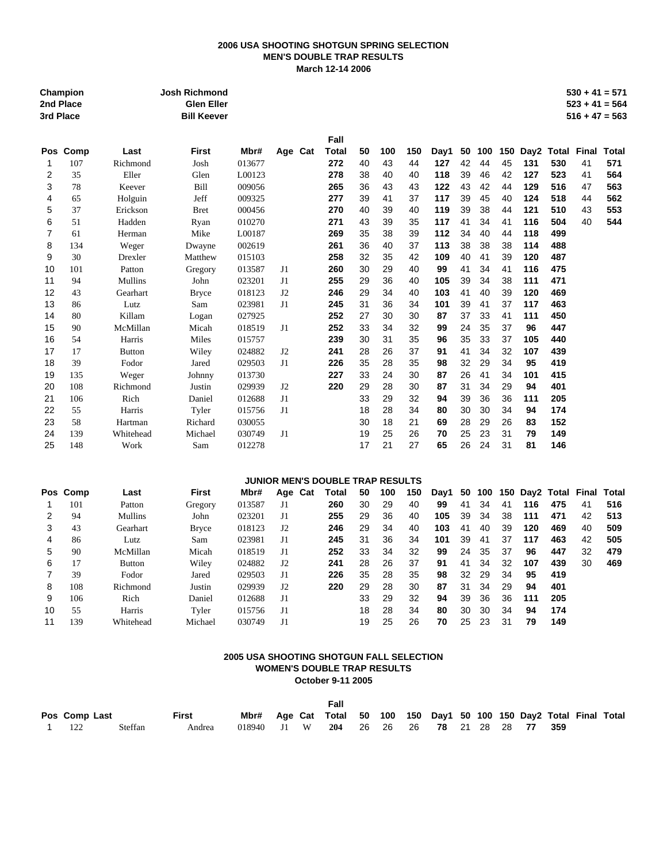# **2006 USA SHOOTING SHOTGUN SPRING SELECTION MEN'S DOUBLE TRAP RESULTS March 12-14 2006**

|                | Champion<br>2nd Place<br>3rd Place |               | Josh Richmond<br><b>Glen Eller</b><br><b>Bill Keever</b> |        |                |                                  |    |     |     |      |    |     |     |     |                  | $530 + 41 = 571$<br>$523 + 41 = 564$<br>$516 + 47 = 563$ |              |
|----------------|------------------------------------|---------------|----------------------------------------------------------|--------|----------------|----------------------------------|----|-----|-----|------|----|-----|-----|-----|------------------|----------------------------------------------------------|--------------|
|                |                                    |               |                                                          |        |                | Fall                             |    |     |     |      |    |     |     |     |                  |                                                          |              |
| <b>Pos</b>     | Comp                               | Last          | <b>First</b>                                             | Mbr#   | Age Cat        | <b>Total</b>                     | 50 | 100 | 150 | Day1 | 50 | 100 | 150 |     | Day2 Total Final |                                                          | <b>Total</b> |
| 1              | 107                                | Richmond      | Josh                                                     | 013677 |                | 272                              | 40 | 43  | 44  | 127  | 42 | 44  | 45  | 131 | 530              | 41                                                       | 571          |
| $\overline{2}$ | 35                                 | Eller         | Glen                                                     | L00123 |                | 278                              | 38 | 40  | 40  | 118  | 39 | 46  | 42  | 127 | 523              | 41                                                       | 564          |
| 3              | 78                                 | Keever        | Bill                                                     | 009056 |                | 265                              | 36 | 43  | 43  | 122  | 43 | 42  | 44  | 129 | 516              | 47                                                       | 563          |
| 4              | 65                                 | Holguin       | Jeff                                                     | 009325 |                | 277                              | 39 | 41  | 37  | 117  | 39 | 45  | 40  | 124 | 518              | 44                                                       | 562          |
| 5              | 37                                 | Erickson      | <b>Bret</b>                                              | 000456 |                | 270                              | 40 | 39  | 40  | 119  | 39 | 38  | 44  | 121 | 510              | 43                                                       | 553          |
| 6              | 51                                 | Hadden        | Ryan                                                     | 010270 |                | 271                              | 43 | 39  | 35  | 117  | 41 | 34  | 41  | 116 | 504              | 40                                                       | 544          |
| $\overline{7}$ | 61                                 | Herman        | Mike                                                     | L00187 |                | 269                              | 35 | 38  | 39  | 112  | 34 | 40  | 44  | 118 | 499              |                                                          |              |
| 8              | 134                                | Weger         | Dwayne                                                   | 002619 |                | 261                              | 36 | 40  | 37  | 113  | 38 | 38  | 38  | 114 | 488              |                                                          |              |
| 9              | 30                                 | Drexler       | Matthew                                                  | 015103 |                | 258                              | 32 | 35  | 42  | 109  | 40 | 41  | 39  | 120 | 487              |                                                          |              |
| 10             | 101                                | Patton        | Gregory                                                  | 013587 | J1             | 260                              | 30 | 29  | 40  | 99   | 41 | 34  | 41  | 116 | 475              |                                                          |              |
| 11             | 94                                 | Mullins       | John                                                     | 023201 | J1             | 255                              | 29 | 36  | 40  | 105  | 39 | 34  | 38  | 111 | 471              |                                                          |              |
| 12             | 43                                 | Gearhart      | <b>Bryce</b>                                             | 018123 | J <sub>2</sub> | 246                              | 29 | 34  | 40  | 103  | 41 | 40  | 39  | 120 | 469              |                                                          |              |
| 13             | 86                                 | Lutz          | Sam                                                      | 023981 | J1             | 245                              | 31 | 36  | 34  | 101  | 39 | 41  | 37  | 117 | 463              |                                                          |              |
| 14             | 80                                 | Killam        | Logan                                                    | 027925 |                | 252                              | 27 | 30  | 30  | 87   | 37 | 33  | 41  | 111 | 450              |                                                          |              |
| 15             | 90                                 | McMillan      | Micah                                                    | 018519 | J1             | 252                              | 33 | 34  | 32  | 99   | 24 | 35  | 37  | 96  | 447              |                                                          |              |
| 16             | 54                                 | Harris        | Miles                                                    | 015757 |                | 239                              | 30 | 31  | 35  | 96   | 35 | 33  | 37  | 105 | 440              |                                                          |              |
| 17             | 17                                 | <b>Button</b> | Wiley                                                    | 024882 | J2             | 241                              | 28 | 26  | 37  | 91   | 41 | 34  | 32  | 107 | 439              |                                                          |              |
| 18             | 39                                 | Fodor         | Jared                                                    | 029503 | J1             | 226                              | 35 | 28  | 35  | 98   | 32 | 29  | 34  | 95  | 419              |                                                          |              |
| 19             | 135                                | Weger         | Johnny                                                   | 013730 |                | 227                              | 33 | 24  | 30  | 87   | 26 | 41  | 34  | 101 | 415              |                                                          |              |
| 20             | 108                                | Richmond      | Justin                                                   | 029939 | J2             | 220                              | 29 | 28  | 30  | 87   | 31 | 34  | 29  | 94  | 401              |                                                          |              |
| 21             | 106                                | Rich          | Daniel                                                   | 012688 | J1             |                                  | 33 | 29  | 32  | 94   | 39 | 36  | 36  | 111 | 205              |                                                          |              |
| 22             | 55                                 | Harris        | Tyler                                                    | 015756 | J1             |                                  | 18 | 28  | 34  | 80   | 30 | 30  | 34  | 94  | 174              |                                                          |              |
| 23             | 58                                 | Hartman       | Richard                                                  | 030055 |                |                                  | 30 | 18  | 21  | 69   | 28 | 29  | 26  | 83  | 152              |                                                          |              |
| 24             | 139                                | Whitehead     | Michael                                                  | 030749 | J1             |                                  | 19 | 25  | 26  | 70   | 25 | 23  | 31  | 79  | 149              |                                                          |              |
| 25             | 148                                | Work          | Sam                                                      | 012278 |                |                                  | 17 | 21  | 27  | 65   | 26 | 24  | 31  | 81  | 146              |                                                          |              |
|                |                                    |               |                                                          |        |                | JUNIOR MEN'S DOUBLE TRAP RESULTS |    |     |     |      |    |     |     |     |                  |                                                          |              |
|                | Pos Comp                           | Last          | <b>First</b>                                             | Mbr#   | Age Cat        | Total                            | 50 | 100 | 150 | Day1 | 50 | 100 | 150 |     | Day2 Total       | Final                                                    | <b>Total</b> |
| 1              | 101                                | Patton        | Gregory                                                  | 013587 | J1             | 260                              | 30 | 29  | 40  | 99   | 41 | 34  | 41  | 116 | 475              | 41                                                       | 516          |
| $\overline{2}$ | 94                                 | Mullins       | John                                                     | 023201 | J1             | 255                              | 29 | 36  | 40  | 105  | 39 | 34  | 38  | 111 | 471              | 42                                                       | 513          |
| 3              | 43                                 | Gearhart      | <b>Bryce</b>                                             | 018123 | J2             | 246                              | 29 | 34  | 40  | 103  | 41 | 40  | 39  | 120 | 469              | 40                                                       | 509          |
| 4              | 86                                 | Lutz          | Sam                                                      | 023981 | J1             | 245                              | 31 | 36  | 34  | 101  | 39 | 41  | 37  | 117 | 463              | 42                                                       | 505          |
| 5              | 90                                 | McMillan      | Micah                                                    | 018519 | J1             | 252                              | 33 | 34  | 32  | 99   | 24 | 35  | 37  | 96  | 447              | 32                                                       | 479          |
| 6              | 17                                 | <b>Button</b> | Wiley                                                    | 024882 | J2             | 241                              | 28 | 26  | 37  | 91   | 41 | 34  | 32  | 107 | 439              | 30                                                       | 469          |
| $\overline{7}$ | 39                                 | Fodor         | Jared                                                    | 029503 | J1             | 226                              | 35 | 28  | 35  | 98   | 32 | 29  | 34  | 95  | 419              |                                                          |              |
| 8              | 108                                | Richmond      | Justin                                                   | 029939 | J2             | 220                              | 29 | 28  | 30  | 87   | 31 | 34  | 29  | 94  | 401              |                                                          |              |
| 9              | 106                                | Rich          | Daniel                                                   | 012688 | J1             |                                  | 33 | 29  | 32  | 94   | 39 | 36  | 36  | 111 | 205              |                                                          |              |
| 10             | 55                                 | Harris        | Tyler                                                    | 015756 | J1             |                                  | 18 | 28  | 34  | 80   | 30 | 30  | 34  | 94  | 174              |                                                          |              |
| 11             | 139                                | Whitehead     | Michael                                                  | 030749 | J1             |                                  | 19 | 25  | 26  | 70   | 25 | 23  | 31  | 79  | 149              |                                                          |              |

# **2005 USA SHOOTING SHOTGUN FALL SELECTION WOMEN'S DOUBLE TRAP RESULTS October 9-11 2005**

|               |         |              |                                                                      |  | Fall |  |  |  |  |  |  |
|---------------|---------|--------------|----------------------------------------------------------------------|--|------|--|--|--|--|--|--|
| Pos Comp Last |         | <b>First</b> | Mbr# Age Cat Total 50 100 150 Day1 50 100 150 Day2 Total Final Total |  |      |  |  |  |  |  |  |
| 1 $122$       | Steffan | Andrea       | 018940 J1 W 204 26 26 26 78 21 28 28 77 359                          |  |      |  |  |  |  |  |  |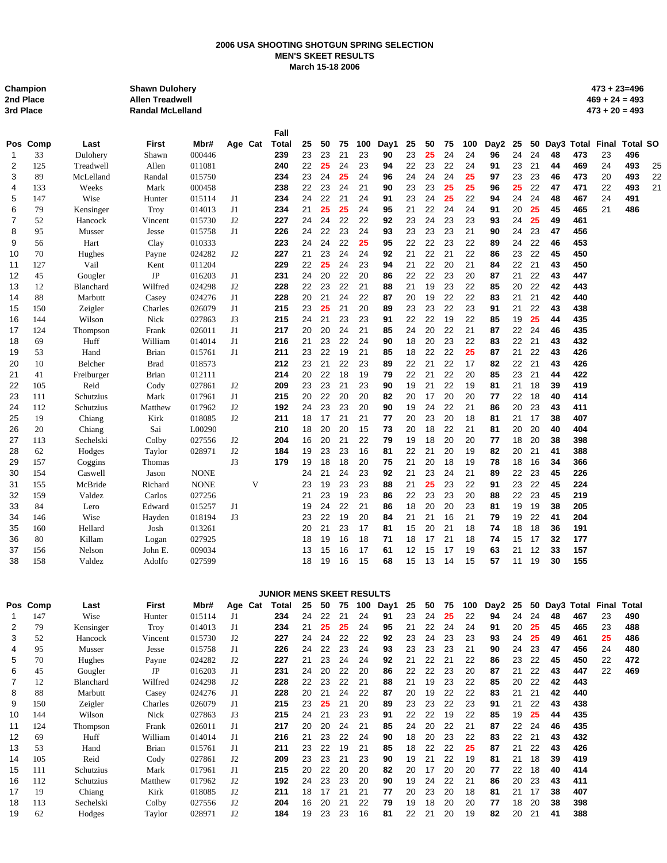# **2006 USA SHOOTING SHOTGUN SPRING SELECTION MEN'S SKEET RESULTS March 15-18 2006**

| Champion  | <b>Shawn Dulohery</b>   | $473 + 23 = 496$ |
|-----------|-------------------------|------------------|
| 2nd Place | <b>Allen Treadwell</b>  | $469 + 24 = 493$ |
| 3rd Place | <b>Randal McLelland</b> | $473 + 20 = 493$ |

|    |          |            |              |             |    |         | Fall         |    |    |    |     |      |    |    |     |     |      |    |    |    |     |                  |                 |    |
|----|----------|------------|--------------|-------------|----|---------|--------------|----|----|----|-----|------|----|----|-----|-----|------|----|----|----|-----|------------------|-----------------|----|
|    | Pos Comp | Last       | <b>First</b> | Mbr#        |    | Age Cat | <b>Total</b> | 25 | 50 | 75 | 100 | Day1 | 25 | 50 | 75  | 100 | Day2 | 25 | 50 |    |     | Day3 Total Final | <b>Total SO</b> |    |
| 1  | 33       | Dulohery   | Shawn        | 000446      |    |         | 239          | 23 | 23 | 21 | 23  | 90   | 23 | 25 | 24  | 24  | 96   | 24 | 24 | 48 | 473 | 23               | 496             |    |
| 2  | 125      | Treadwell  | Allen        | 011081      |    |         | 240          | 22 | 25 | 24 | 23  | 94   | 22 | 23 | 22  | 24  | 91   | 23 | 21 | 44 | 469 | 24               | 493             | 25 |
| 3  | 89       | McLelland  | Randal       | 015750      |    |         | 234          | 23 | 24 | 25 | 24  | 96   | 24 | 24 | 24  | 25  | 97   | 23 | 23 | 46 | 473 | 20               | 493             | 22 |
| 4  | 133      | Weeks      | Mark         | 000458      |    |         | 238          | 22 | 23 | 24 | 21  | 90   | 23 | 23 | 25  | 25  | 96   | 25 | 22 | 47 | 471 | 22               | 493             | 21 |
| 5  | 147      | Wise       | Hunter       | 015114      | J1 |         | 234          | 24 | 22 | 21 | 24  | 91   | 23 | 24 | 25  | 22  | 94   | 24 | 24 | 48 | 467 | 24               | 491             |    |
| 6  | 79       | Kensinger  | Troy         | 014013      | J1 |         | 234          | 21 | 25 | 25 | 24  | 95   | 21 | 22 | 24  | 24  | 91   | 20 | 25 | 45 | 465 | 21               | 486             |    |
| 7  | 52       | Hancock    | Vincent      | 015730      | J2 |         | 227          | 24 | 24 | 22 | 22  | 92   | 23 | 24 | 23  | 23  | 93   | 24 | 25 | 49 | 461 |                  |                 |    |
| 8  | 95       | Musser     | Jesse        | 015758      | J1 |         | 226          | 24 | 22 | 23 | 24  | 93   | 23 | 23 | 23  | 21  | 90   | 24 | 23 | 47 | 456 |                  |                 |    |
| 9  | 56       | Hart       | Clay         | 010333      |    |         | 223          | 24 | 24 | 22 | 25  | 95   | 22 | 22 | 23  | 22  | 89   | 24 | 22 | 46 | 453 |                  |                 |    |
| 10 | 70       | Hughes     | Payne        | 024282      | J2 |         | 227          | 21 | 23 | 24 | 24  | 92   | 21 | 22 | 21  | 22  | 86   | 23 | 22 | 45 | 450 |                  |                 |    |
| 11 | 127      | Vail       | Kent         | 011204      |    |         | 229          | 22 | 25 | 24 | 23  | 94   | 21 | 22 | 20  | 21  | 84   | 22 | 21 | 43 | 450 |                  |                 |    |
| 12 | 45       | Gougler    | JP           | 016203      | J1 |         | 231          | 24 | 20 | 22 | 20  | 86   | 22 | 22 | 23  | 20  | 87   | 21 | 22 | 43 | 447 |                  |                 |    |
| 13 | 12       | Blanchard  | Wilfred      | 024298      | J2 |         | 228          | 22 | 23 | 22 | 21  | 88   | 21 | 19 | 23  | 22  | 85   | 20 | 22 | 42 | 443 |                  |                 |    |
| 14 | 88       | Marbutt    | Casey        | 024276      | J1 |         | 228          | 20 | 21 | 24 | 22  | 87   | 20 | 19 | 22  | 22  | 83   | 21 | 21 | 42 | 440 |                  |                 |    |
| 15 | 150      | Zeigler    | Charles      | 026079      | J1 |         | 215          | 23 | 25 | 21 | 20  | 89   | 23 | 23 | 22  | 23  | 91   | 21 | 22 | 43 | 438 |                  |                 |    |
| 16 | 144      | Wilson     | Nick         | 027863      | J3 |         | 215          | 24 | 21 | 23 | 23  | 91   | 22 | 22 | 19  | 22  | 85   | 19 | 25 | 44 | 435 |                  |                 |    |
| 17 | 124      | Thompson   | Frank        | 026011      | J1 |         | 217          | 20 | 20 | 24 | 21  | 85   | 24 | 20 | 22  | 21  | 87   | 22 | 24 | 46 | 435 |                  |                 |    |
| 18 | 69       | Huff       | William      | 014014      | J1 |         | 216          | 21 | 23 | 22 | 24  | 90   | 18 | 20 | 23  | 22  | 83   | 22 | 21 | 43 | 432 |                  |                 |    |
| 19 | 53       | Hand       | <b>Brian</b> | 015761      | J1 |         | 211          | 23 | 22 | 19 | 21  | 85   | 18 | 22 | 22  | 25  | 87   | 21 | 22 | 43 | 426 |                  |                 |    |
| 20 | 10       | Belcher    | <b>Brad</b>  | 018573      |    |         | 212          | 23 | 21 | 22 | 23  | 89   | 22 | 21 | 22  | 17  | 82   | 22 | 21 | 43 | 426 |                  |                 |    |
| 21 | 41       | Freiburger | <b>Brian</b> | 012111      |    |         | 214          | 20 | 22 | 18 | 19  | 79   | 22 | 21 | 22  | 20  | 85   | 23 | 21 | 44 | 422 |                  |                 |    |
| 22 | 105      | Reid       | Cody         | 027861      | J2 |         | 209          | 23 | 23 | 21 | 23  | 90   | 19 | 21 | 22  | 19  | 81   | 21 | 18 | 39 | 419 |                  |                 |    |
| 23 | 111      | Schutzius  | Mark         | 017961      | J1 |         | 215          | 20 | 22 | 20 | 20  | 82   | 20 | 17 | 20  | 20  | 77   | 22 | 18 | 40 | 414 |                  |                 |    |
| 24 | 112      | Schutzius  | Matthew      | 017962      | J2 |         | 192          | 24 | 23 | 23 | 20  | 90   | 19 | 24 | 22  | 21  | 86   | 20 | 23 | 43 | 411 |                  |                 |    |
| 25 | 19       | Chiang     | Kirk         | 018085      | J2 |         | 211          | 18 | 17 | 21 | 21  | 77   | 20 | 23 | 20  | 18  | 81   | 21 | 17 | 38 | 407 |                  |                 |    |
| 26 | 20       | Chiang     | Sai          | L00290      |    |         | 210          | 18 | 20 | 20 | 15  | 73   | 20 | 18 | 22  | 21  | 81   | 20 | 20 | 40 | 404 |                  |                 |    |
| 27 | 113      | Sechelski  | Colby        | 027556      | J2 |         | 204          | 16 | 20 | 21 | 22  | 79   | 19 | 18 | 20  | 20  | 77   | 18 | 20 | 38 | 398 |                  |                 |    |
| 28 | 62       | Hodges     | Taylor       | 028971      | J2 |         | 184          | 19 | 23 | 23 | 16  | 81   | 22 | 21 | 20  | 19  | 82   | 20 | 21 | 41 | 388 |                  |                 |    |
| 29 | 157      | Coggins    | Thomas       |             | J3 |         | 179          | 19 | 18 | 18 | 20  | 75   | 21 | 20 | 18  | 19  | 78   | 18 | 16 | 34 | 366 |                  |                 |    |
| 30 | 154      | Caswell    | Jason        | <b>NONE</b> |    |         |              | 24 | 21 | 24 | 23  | 92   | 21 | 23 | 24  | 21  | 89   | 22 | 23 | 45 | 226 |                  |                 |    |
| 31 | 155      | McBride    | Richard      | <b>NONE</b> |    | V       |              | 23 | 19 | 23 | 23  | 88   | 21 | 25 | 23  | 22  | 91   | 23 | 22 | 45 | 224 |                  |                 |    |
| 32 | 159      | Valdez     | Carlos       | 027256      |    |         |              | 21 | 23 | 19 | 23  | 86   | 22 | 23 | 23  | 20  | 88   | 22 | 23 | 45 | 219 |                  |                 |    |
| 33 | 84       | Lero       | Edward       | 015257      | J1 |         |              | 19 | 24 | 22 | 21  | 86   | 18 | 20 | 20  | 23  | 81   | 19 | 19 | 38 | 205 |                  |                 |    |
| 34 | 146      | Wise       | Hayden       | 018194      | J3 |         |              | 23 | 22 | 19 | 20  | 84   | 21 | 21 | 16  | 21  | 79   | 19 | 22 | 41 | 204 |                  |                 |    |
| 35 | 160      | Hellard    | Josh         | 013261      |    |         |              | 20 | 21 | 23 | 17  | 81   | 15 | 20 | 21  | 18  | 74   | 18 | 18 | 36 | 191 |                  |                 |    |
| 36 | 80       | Killam     | Logan        | 027925      |    |         |              | 18 | 19 | 16 | 18  | 71   | 18 | 17 | 21  | 18  | 74   | 15 | 17 | 32 | 177 |                  |                 |    |
| 37 | 156      | Nelson     | John E.      | 009034      |    |         |              | 13 | 15 | 16 | 17  | 61   | 12 | 15 | 17  | 19  | 63   | 21 | 12 | 33 | 157 |                  |                 |    |
| 38 | 158      | Valdez     | Adolfo       | 027599      |    |         |              | 18 | 19 | 16 | 15  | 68   | 15 | 13 | -14 | 15  | 57   | 11 | 19 | 30 | 155 |                  |                 |    |
|    |          |            |              |             |    |         |              |    |    |    |     |      |    |    |     |     |      |    |    |    |     |                  |                 |    |

|    |          |           |              |        |         | <b>JUNIOR MENS SKEET RESULTS</b> |    |    |     |     |      |    |    |    |     |      |    |    |    |               |       |       |
|----|----------|-----------|--------------|--------|---------|----------------------------------|----|----|-----|-----|------|----|----|----|-----|------|----|----|----|---------------|-------|-------|
|    | Pos Comp | Last      | <b>First</b> | Mbr#   | Age Cat | Total                            | 25 | 50 | 75  | 100 | Day1 | 25 | 50 | 75 | 100 | Day2 | 25 |    |    | 50 Day3 Total | Final | Total |
|    | 147      | Wise      | Hunter       | 015114 | J1.     | 234                              | 24 | 22 | 21  | 24  | 91   | 23 | 24 | 25 | 22  | 94   | 24 | 24 | 48 | 467           | 23    | 490   |
| 2  | 79       | Kensinger | Troy         | 014013 | J1      | 234                              | 21 | 25 | 25  | 24  | 95   | 21 | 22 | 24 | 24  | 91   | 20 | 25 | 45 | 465           | 23    | 488   |
| 3  | 52       | Hancock   | Vincent      | 015730 | J2      | 227                              | 24 | 24 | 22  | 22  | 92   | 23 | 24 | 23 | 23  | 93   | 24 | 25 | 49 | 461           | 25    | 486   |
| 4  | 95       | Musser    | Jesse        | 015758 | J1      | 226                              | 24 | 22 | 23  | 24  | 93   | 23 | 23 | 23 | 21  | 90   | 24 | 23 | 47 | 456           | 24    | 480   |
| 5  | 70       | Hughes    | Payne        | 024282 | J2      | 227                              | 21 | 23 | 24  | 24  | 92   | 21 | 22 | 21 | 22  | 86   | 23 | 22 | 45 | 450           | 22    | 472   |
| 6  | 45       | Gougler   | JP           | 016203 | J1      | 231                              | 24 | 20 | 22  | 20  | 86   | 22 | 22 | 23 | 20  | 87   | 21 | 22 | 43 | 447           | 22    | 469   |
|    | 12       | Blanchard | Wilfred      | 024298 | J2      | 228                              | 22 | 23 | 22  | 21  | 88   | 21 | 19 | 23 | 22  | 85   | 20 | 22 | 42 | 443           |       |       |
| 8  | 88       | Marbutt   | Casey        | 024276 | J1      | 228                              | 20 | 21 | 24  | 22  | 87   | 20 | 19 | 22 | 22  | 83   | 21 | 21 | 42 | 440           |       |       |
| 9  | 150      | Zeigler   | Charles      | 026079 | J1      | 215                              | 23 | 25 | 21  | 20  | 89   | 23 | 23 | 22 | 23  | 91   | 21 | 22 | 43 | 438           |       |       |
| 10 | 144      | Wilson    | Nick         | 027863 | J3      | 215                              | 24 | 21 | 23  | 23  | 91   | 22 | 22 | 19 | 22  | 85   | 19 | 25 | 44 | 435           |       |       |
| 11 | 124      | Thompson  | Frank        | 026011 | J1      | 217                              | 20 | 20 | 24  | 21  | 85   | 24 | 20 | 22 | 21  | 87   | 22 | 24 | 46 | 435           |       |       |
| 12 | 69       | Huff      | William      | 014014 | J1      | 216                              | 21 | 23 | 22  | 24  | 90   | 18 | 20 | 23 | 22  | 83   | 22 | 21 | 43 | 432           |       |       |
| 13 | 53       | Hand      | Brian        | 015761 | J1      | 211                              | 23 | 22 | 19  | 21  | 85   | 18 | 22 | 22 | 25  | 87   | 21 | 22 | 43 | 426           |       |       |
| 14 | 105      | Reid      | Cody         | 027861 | J2      | 209                              | 23 | 23 | 21  | 23  | 90   | 19 | 21 | 22 | 19  | 81   | 21 | 18 | 39 | 419           |       |       |
| 15 | 111      | Schutzius | Mark         | 017961 | J1      | 215                              | 20 | 22 | 20  | 20  | 82   | 20 | 17 | 20 | 20  | 77   | 22 | 18 | 40 | 414           |       |       |
| 16 | 112      | Schutzius | Matthew      | 017962 | J2      | 192                              | 24 | 23 | 23  | 20  | 90   | 19 | 24 | 22 | 21  | 86   | 20 | 23 | 43 | 411           |       |       |
| 17 | 19       | Chiang    | Kirk         | 018085 | J2      | 211                              | 18 | 17 | -21 | 21  | 77   | 20 | 23 | 20 | 18  | 81   | 21 | 17 | 38 | 407           |       |       |
| 18 | 113      | Sechelski | Colby        | 027556 | J2      | 204                              | 16 | 20 | 21  | 22  | 79   | 19 | 18 | 20 | 20  | 77   | 18 | 20 | 38 | 398           |       |       |
| 19 | 62       | Hodges    | Taylor       | 028971 | J2      | 184                              | 19 | 23 | 23  | 16  | 81   | 22 | 21 | 20 | 19  | 82   | 20 | 21 | 41 | 388           |       |       |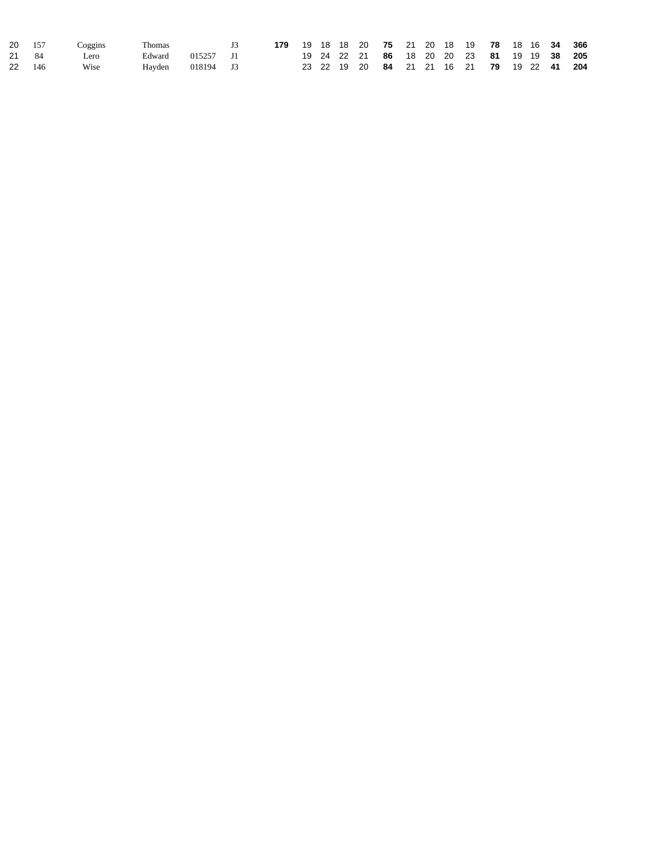| 20 157 | Coggins | Thomas |           | 179 19 18 18 20 75 21 20 18 19 78 18 16 34 366 |  |  |  |  |                                            |  |  |
|--------|---------|--------|-----------|------------------------------------------------|--|--|--|--|--------------------------------------------|--|--|
| 21 84  | Lero    | Edward | 015257 J1 |                                                |  |  |  |  | 19 24 22 21 86 18 20 20 23 81 19 19 38 205 |  |  |
| 22 146 | Wise    | Hayden | 018194 J3 |                                                |  |  |  |  | 23 22 19 20 84 21 21 16 21 79 19 22 41 204 |  |  |